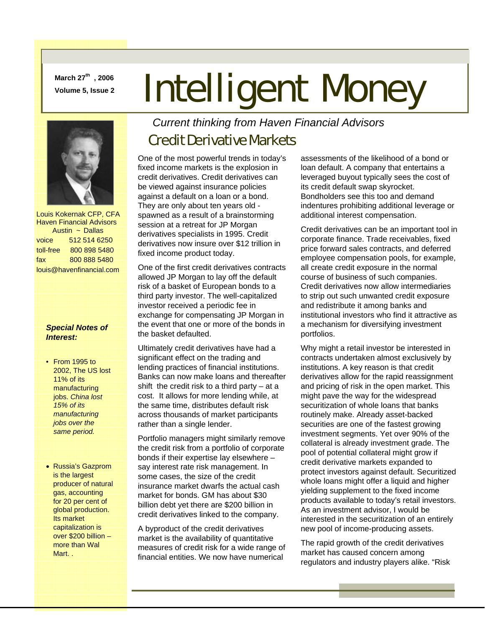**March 27th , 2006** 

# March 27" , 2006 **Intelligent Money**



 Louis Kokernak CFP, CFA Haven Financial Advisors Austin ~ Dallas voice 512 514 6250 toll-free 800 898 5480 fax 800 888 5480 louis@havenfinancial.com

#### *Special Notes of Interest:*

- From 1995 to 2002, The US lost 11% of its manufacturing jobs. *China lost 15% of its manufacturing jobs over the same period.*
- Russia's Gazprom is the largest producer of natural gas, accounting for 20 per cent of global production. Its market capitalization is over \$200 billion – more than Wal Mart. .

## *Current thinking from Haven Financial Advisors*

## Credit Derivative Markets

One of the most powerful trends in today's fixed income markets is the explosion in credit derivatives. Credit derivatives can be viewed against insurance policies against a default on a loan or a bond. They are only about ten years old spawned as a result of a brainstorming session at a retreat for JP Morgan derivatives specialists in 1995. Credit derivatives now insure over \$12 trillion in fixed income product today.

One of the first credit derivatives contracts allowed JP Morgan to lay off the default risk of a basket of European bonds to a third party investor. The well-capitalized investor received a periodic fee in exchange for compensating JP Morgan in the event that one or more of the bonds in the basket defaulted.

Ultimately credit derivatives have had a significant effect on the trading and lending practices of financial institutions. Banks can now make loans and thereafter shift the credit risk to a third party  $-$  at a cost. It allows for more lending while, at the same time, distributes default risk across thousands of market participants rather than a single lender.

Portfolio managers might similarly remove the credit risk from a portfolio of corporate bonds if their expertise lay elsewhere – say interest rate risk management. In some cases, the size of the credit insurance market dwarfs the actual cash market for bonds. GM has about \$30 billion debt yet there are \$200 billion in credit derivatives linked to the company.

A byproduct of the credit derivatives market is the availability of quantitative measures of credit risk for a wide range of financial entities. We now have numerical

assessments of the likelihood of a bond or loan default. A company that entertains a leveraged buyout typically sees the cost of its credit default swap skyrocket. Bondholders see this too and demand indentures prohibiting additional leverage or additional interest compensation.

Credit derivatives can be an important tool in corporate finance. Trade receivables, fixed price forward sales contracts, and deferred employee compensation pools, for example, all create credit exposure in the normal course of business of such companies. Credit derivatives now allow intermediaries to strip out such unwanted credit exposure and redistribute it among banks and institutional investors who find it attractive as a mechanism for diversifying investment portfolios.

Why might a retail investor be interested in contracts undertaken almost exclusively by institutions. A key reason is that credit derivatives allow for the rapid reassignment and pricing of risk in the open market. This might pave the way for the widespread securitization of whole loans that banks routinely make. Already asset-backed securities are one of the fastest growing investment segments. Yet over 90% of the collateral is already investment grade. The pool of potential collateral might grow if credit derivative markets expanded to protect investors against default. Securitized whole loans might offer a liquid and higher yielding supplement to the fixed income products available to today's retail investors. As an investment advisor, I would be interested in the securitization of an entirely new pool of income-producing assets.

The rapid growth of the credit derivatives market has caused concern among regulators and industry players alike. "Risk